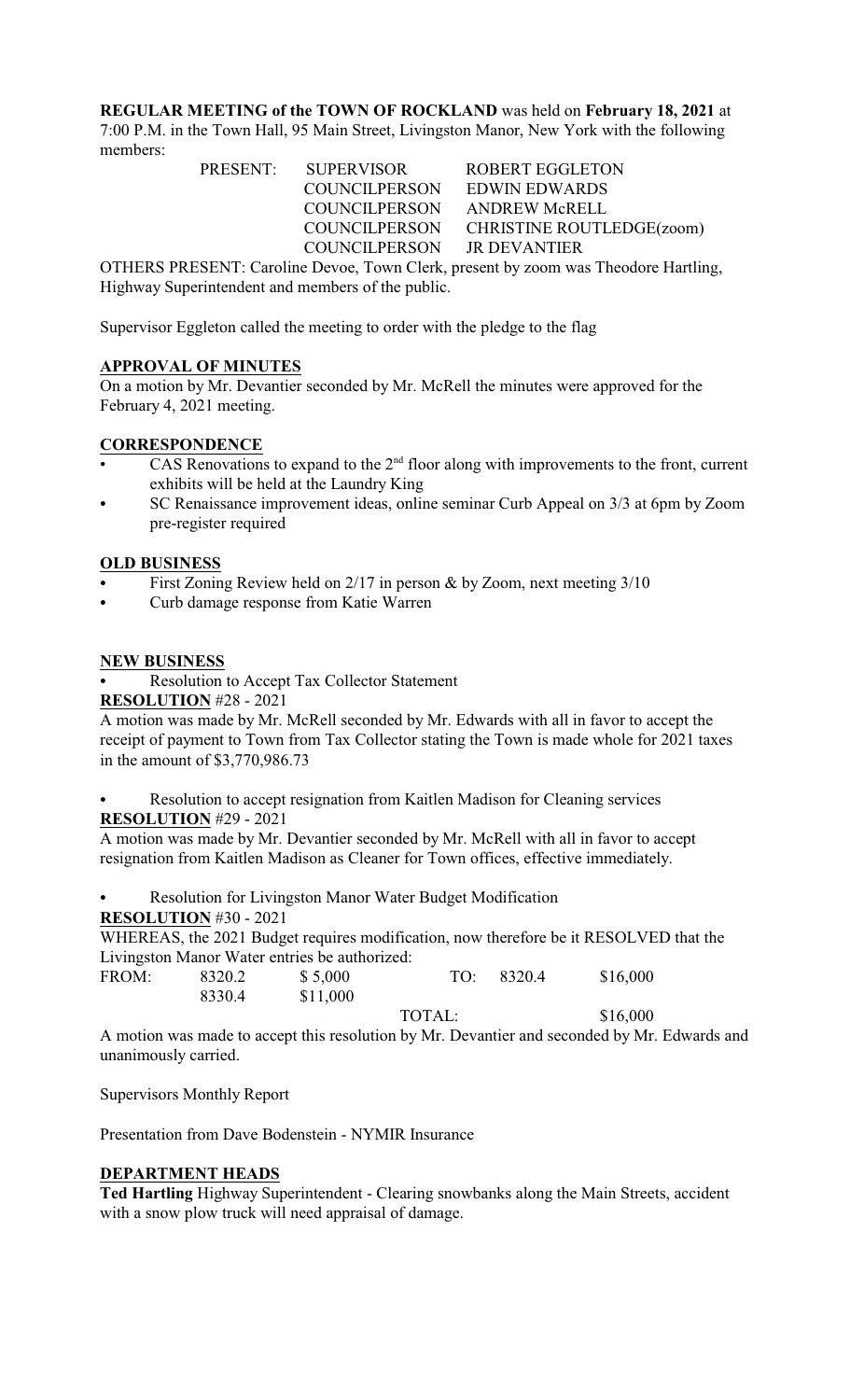**REGULAR MEETING of the TOWN OF ROCKLAND** was held on **February 18, 2021** at 7:00 P.M. in the Town Hall, 95 Main Street, Livingston Manor, New York with the following members:

PRESENT: SUPERVISOR ROBERT EGGLETON COUNCILPERSON EDWIN EDWARDS COUNCILPERSON ANDREW McRELL COUNCILPERSON CHRISTINE ROUTLEDGE(zoom) COUNCILPERSON JR DEVANTIER

OTHERS PRESENT: Caroline Devoe, Town Clerk, present by zoom was Theodore Hartling, Highway Superintendent and members of the public.

Supervisor Eggleton called the meeting to order with the pledge to the flag

# **APPROVAL OF MINUTES**

On a motion by Mr. Devantier seconded by Mr. McRell the minutes were approved for the February 4, 2021 meeting.

#### **CORRESPONDENCE**

- CAS Renovations to expand to the  $2<sup>nd</sup>$  floor along with improvements to the front, current exhibits will be held at the Laundry King
- SC Renaissance improvement ideas, online seminar Curb Appeal on 3/3 at 6pm by Zoom pre-register required

## **OLD BUSINESS**

- First Zoning Review held on  $2/17$  in person & by Zoom, next meeting  $3/10$
- Curb damage response from Katie Warren

## **NEW BUSINESS**

Resolution to Accept Tax Collector Statement

**RESOLUTION** #28 - 2021

A motion was made by Mr. McRell seconded by Mr. Edwards with all in favor to accept the receipt of payment to Town from Tax Collector stating the Town is made whole for 2021 taxes in the amount of \$3,770,986.73

Resolution to accept resignation from Kaitlen Madison for Cleaning services **RESOLUTION** #29 - 2021

A motion was made by Mr. Devantier seconded by Mr. McRell with all in favor to accept resignation from Kaitlen Madison as Cleaner for Town offices, effective immediately.

Resolution for Livingston Manor Water Budget Modification **RESOLUTION** #30 - 2021

WHEREAS, the 2021 Budget requires modification, now therefore be it RESOLVED that the Livingston Manor Water entries be authorized:

| FROM: | 8320.2 | \$5,000  | TO:    | 8320.4 | \$16,000 |
|-------|--------|----------|--------|--------|----------|
|       | 8330.4 | \$11,000 |        |        |          |
|       |        |          | TOTAL: |        | \$16,000 |

A motion was made to accept this resolution by Mr. Devantier and seconded by Mr. Edwards and unanimously carried.

Supervisors Monthly Report

Presentation from Dave Bodenstein - NYMIR Insurance

#### **DEPARTMENT HEADS**

**Ted Hartling** Highway Superintendent - Clearing snowbanks along the Main Streets, accident with a snow plow truck will need appraisal of damage.